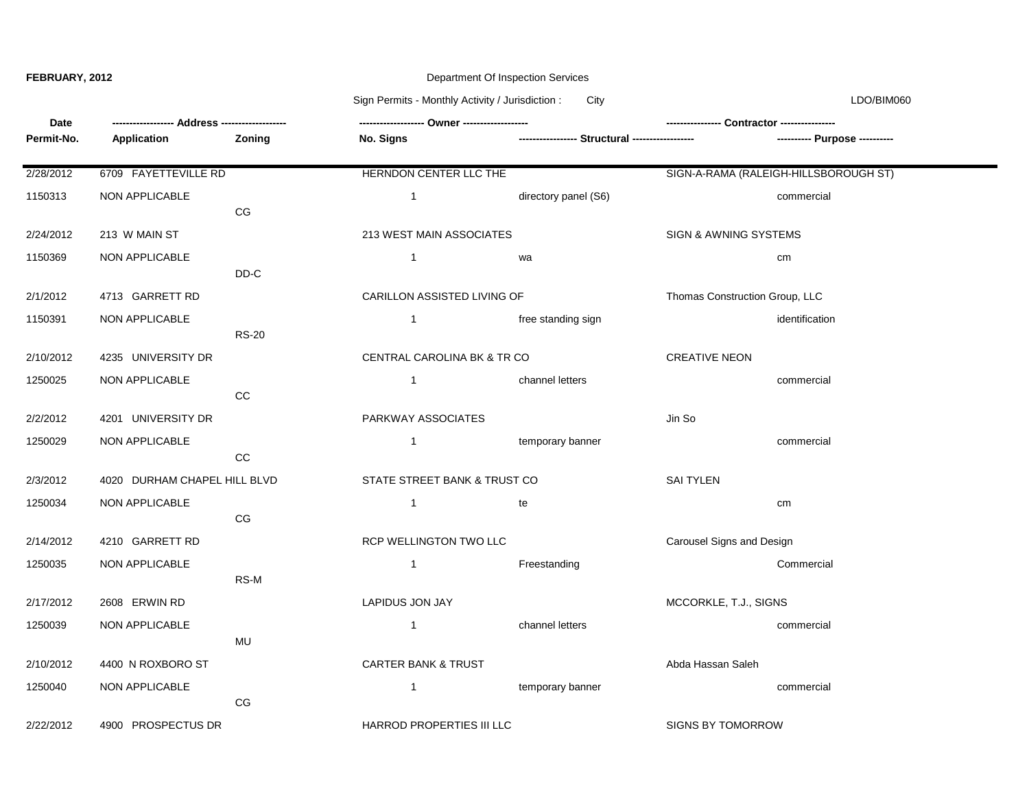## **FEBRUARY, 2012 Department Of Inspection Services**

Sign Permits - Monthly Activity / Jurisdiction : City City Communication is considered to the UDO/BIM060

| Date       |                              |               |                                |                                                 |                                       |  |
|------------|------------------------------|---------------|--------------------------------|-------------------------------------------------|---------------------------------------|--|
| Permit-No. | Application                  | <b>Zoning</b> | <b>No. Signs</b>               | ----------------- Structural ------------------ | ---------- Purpose ----------         |  |
| 2/28/2012  | 6709 FAYETTEVILLE RD         |               | HERNDON CENTER LLC THE         |                                                 | SIGN-A-RAMA (RALEIGH-HILLSBOROUGH ST) |  |
| 1150313    | NON APPLICABLE               | CG            | $\overline{1}$                 | directory panel (S6)                            | commercial                            |  |
| 2/24/2012  | 213 W MAIN ST                |               | 213 WEST MAIN ASSOCIATES       |                                                 | SIGN & AWNING SYSTEMS                 |  |
| 1150369    | NON APPLICABLE               |               | $\overline{1}$                 | wa                                              | cm                                    |  |
| 2/1/2012   | 4713 GARRETT RD              | DD-C          | CARILLON ASSISTED LIVING OF    |                                                 | Thomas Construction Group, LLC        |  |
| 1150391    | NON APPLICABLE               |               | $\overline{1}$                 | free standing sign                              | identification                        |  |
| 2/10/2012  | 4235 UNIVERSITY DR           | <b>RS-20</b>  | CENTRAL CAROLINA BK & TR CO    |                                                 | <b>CREATIVE NEON</b>                  |  |
| 1250025    | <b>NON APPLICABLE</b>        | CC            | $\overline{1}$                 | channel letters                                 | commercial                            |  |
| 2/2/2012   | 4201 UNIVERSITY DR           |               | PARKWAY ASSOCIATES             |                                                 | Jin So                                |  |
| 1250029    | NON APPLICABLE               | $_{\rm CC}$   | $\mathbf{1}$                   | temporary banner                                | commercial                            |  |
| 2/3/2012   | 4020 DURHAM CHAPEL HILL BLVD |               | STATE STREET BANK & TRUST CO   |                                                 | <b>SAI TYLEN</b>                      |  |
| 1250034    | NON APPLICABLE               | CG            | $\overline{1}$                 | te                                              | cm                                    |  |
| 2/14/2012  | 4210 GARRETT RD              |               | RCP WELLINGTON TWO LLC         |                                                 | Carousel Signs and Design             |  |
| 1250035    | NON APPLICABLE               | RS-M          | $\overline{1}$                 | Freestanding                                    | Commercial                            |  |
| 2/17/2012  | 2608 ERWIN RD                |               | <b>LAPIDUS JON JAY</b>         |                                                 | MCCORKLE, T.J., SIGNS                 |  |
| 1250039    | <b>NON APPLICABLE</b>        | <b>MU</b>     | $\mathbf{1}$                   | channel letters                                 | commercial                            |  |
| 2/10/2012  | 4400 N ROXBORO ST            |               | <b>CARTER BANK &amp; TRUST</b> |                                                 | Abda Hassan Saleh                     |  |
| 1250040    | NON APPLICABLE               | CG            | $\mathbf{1}$                   | temporary banner                                | commercial                            |  |
| 2/22/2012  | 4900 PROSPECTUS DR           |               | HARROD PROPERTIES III LLC      |                                                 | <b>SIGNS BY TOMORROW</b>              |  |